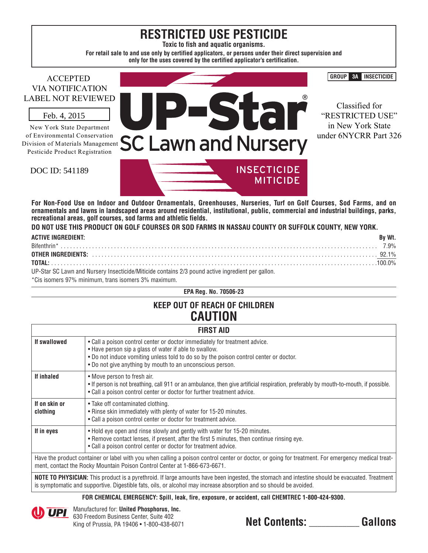# **RESTRICTED USE PESTICIDE**

**Toxic to fish and aquatic organisms.**

**For retail sale to and use only by certified applicators, or persons under their direct supervision and only for the uses covered by the certified applicator's certification.**

## ACCEPTED VIA NOTIFICATION LABEL NOT REVIEWED

New York State Department of Environmental Conservation Division of Materials Management Pesticide Product Registration Feb. 4, 2015<br>New York State Depa<br>f Environmental Cons<br>vision of Materials M<br>Pesticide Product Reg<br>DOC ID: 541189



Classified for "RESTRICTED USE" in New York State under 6NYCRR Part 326

**GROUP 3A INSECTICIDE**

**For Non-Food Use on Indoor and Outdoor Ornamentals, Greenhouses, Nurseries, Turf on Golf Courses, Sod Farms, and on ornamentals and lawns in landscaped areas around residential, institutional, public, commercial and industrial buildings, parks, recreational areas, golf courses, sod farms and athletic fields.**

**MITICIDE** 

**DO NOT USE THIS PRODUCT ON GOLF COURSES OR SOD FARMS IN NASSAU COUNTY OR SUFFOLK COUNTY, NEW YORK.**

| <b>ACTIVE INGREDIENT:</b> | By Wt. |
|---------------------------|--------|
|                           |        |
|                           |        |
|                           |        |
| $\overline{11}$           |        |

UP-Star SC Lawn and Nursery Insecticide/Miticide contains 2/3 pound active ingredient per gallon.

\*Cis isomers 97% minimum, trans isomers 3% maximum.

#### **EPA Reg. No. 70506-23**

## **KEEP OUT OF REACH OF CHILDREN CAUTION**

|                                                                                                                                                                                                                                                         | <b>FIRST AID</b>                                                                                                                                                                                                                                                                           |  |  |
|---------------------------------------------------------------------------------------------------------------------------------------------------------------------------------------------------------------------------------------------------------|--------------------------------------------------------------------------------------------------------------------------------------------------------------------------------------------------------------------------------------------------------------------------------------------|--|--|
| If swallowed                                                                                                                                                                                                                                            | • Call a poison control center or doctor immediately for treatment advice.<br>• Have person sip a glass of water if able to swallow.<br>. Do not induce vomiting unless told to do so by the poison control center or doctor.<br>. Do not give anything by mouth to an unconscious person. |  |  |
| If inhaled                                                                                                                                                                                                                                              | • Move person to fresh air.<br>. If person is not breathing, call 911 or an ambulance, then give artificial respiration, preferably by mouth-to-mouth, if possible.<br>. Call a poison control center or doctor for further treatment advice.                                              |  |  |
| If on skin or<br>clothing                                                                                                                                                                                                                               | • Take off contaminated clothing.<br>. Rinse skin immediately with plenty of water for 15-20 minutes.<br>• Call a poison control center or doctor for treatment advice.                                                                                                                    |  |  |
| If in eyes<br>. Hold eye open and rinse slowly and gently with water for 15-20 minutes.<br>• Remove contact lenses, if present, after the first 5 minutes, then continue rinsing eye.<br>. Call a poison control center or doctor for treatment advice. |                                                                                                                                                                                                                                                                                            |  |  |
|                                                                                                                                                                                                                                                         | Have the product container or label with you when calling a poison control center or doctor, or going for treatment. For emergency medical treat-<br>ment, contact the Rocky Mountain Poison Control Center at 1-866-673-6671.                                                             |  |  |

**NOTE TO PHYSICIAN:** This product is a pyrethroid. If large amounts have been ingested, the stomach and intestine should be evacuated. Treatment is symptomatic and supportive. Digestible fats, oils, or alcohol may increase absorption and so should be avoided.

**FOR CHEMICAL EMERGENCY: Spill, leak, fire, exposure, or accident, call CHEMTREC 1-800-424-9300.**



Manufactured for: **United Phosphorus, Inc.** 630 Freedom Business Center, Suite 402 King of Prussia, PA 19406 • 1-800-438-6071 **Net Contents: \_\_\_\_\_\_\_\_\_\_\_\_ Gallons**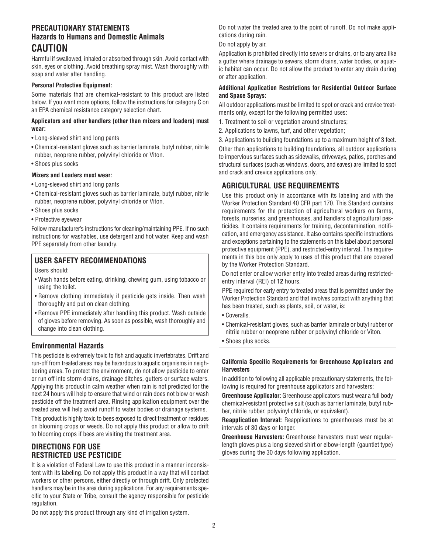## **PRECAUTIONARY STATEMENTS Hazards to Humans and Domestic Animals CAUTION**

Harmful if swallowed, inhaled or absorbed through skin. Avoid contact with skin, eyes or clothing. Avoid breathing spray mist. Wash thoroughly with soap and water after handling.

#### **Personal Protective Equipment:**

Some materials that are chemical-resistant to this product are listed below. If you want more options, follow the instructions for category C on an EPA chemical resistance category selection chart.

#### **Applicators and other handlers (other than mixers and loaders) must wear:**

- Long-sleeved shirt and long pants
- Chemical-resistant gloves such as barrier laminate, butyl rubber, nitrile rubber, neoprene rubber, polyvinyl chloride or Viton.
- Shoes plus socks

#### **Mixers and Loaders must wear:**

- Long-sleeved shirt and long pants
- Chemical-resistant gloves such as barrier laminate, butyl rubber, nitrile rubber, neoprene rubber, polyvinyl chloride or Viton.
- Shoes plus socks
- Protective eyewear

Follow manufacturer's instructions for cleaning/maintaining PPE. If no such instructions for washables, use detergent and hot water. Keep and wash PPE separately from other laundry.

#### **USER SAFETY RECOMMENDATIONS**

Users should:

- Wash hands before eating, drinking, chewing gum, using tobacco or using the toilet.
- Remove clothing immediately if pesticide gets inside. Then wash thoroughly and put on clean clothing.
- Remove PPE immediately after handling this product. Wash outside of gloves before removing. As soon as possible, wash thoroughly and change into clean clothing.

## **Environmental Hazards**

This pesticide is extremely toxic to fish and aquatic invertebrates. Drift and run-off from treated areas may be hazardous to aquatic organisms in neighboring areas. To protect the environment, do not allow pesticide to enter or run off into storm drains, drainage ditches, gutters or surface waters. Applying this product in calm weather when rain is not predicted for the next 24 hours will help to ensure that wind or rain does not blow or wash pesticide off the treatment area. Rinsing application equipment over the treated area will help avoid runoff to water bodies or drainage systems.

This product is highly toxic to bees exposed to direct treatment or residues on blooming crops or weeds. Do not apply this product or allow to drift to blooming crops if bees are visiting the treatment area.

## **DIRECTIONS FOR USE RESTRICTED USE PESTICIDE**

It is a violation of Federal Law to use this product in a manner inconsistent with its labeling. Do not apply this product in a way that will contact workers or other persons, either directly or through drift. Only protected handlers may be in the area during applications. For any requirements specific to your State or Tribe, consult the agency responsible for pesticide regulation.

Do not water the treated area to the point of runoff. Do not make applications during rain.

#### Do not apply by air.

Application is prohibited directly into sewers or drains, or to any area like a gutter where drainage to sewers, storm drains, water bodies, or aquatic habitat can occur. Do not allow the product to enter any drain during or after application.

#### **Additional Application Restrictions for Residential Outdoor Surface and Space Sprays:**

All outdoor applications must be limited to spot or crack and crevice treatments only, except for the following permitted uses:

- 1. Treatment to soil or vegetation around structures;
- 2. Applications to lawns, turf, and other vegetation;

3. Applications to building foundations up to a maximum height of 3 feet. Other than applications to building foundations, all outdoor applications to impervious surfaces such as sidewalks, driveways, patios, porches and structural surfaces (such as windows, doors, and eaves) are limited to spot and crack and crevice applications only.

## **AGRICULTURAL USE REQUIREMENTS**

Use this product only in accordance with its labeling and with the Worker Protection Standard 40 CFR part 170. This Standard contains requirements for the protection of agricultural workers on farms, forests, nurseries, and greenhouses, and handlers of agricultural pesticides. It contains requirements for training, decontamination, notification, and emergency assistance. It also contains specific instructions and exceptions pertaining to the statements on this label about personal protective equipment (PPE), and restricted-entry interval. The requirements in this box only apply to uses of this product that are covered by the Worker Protection Standard.

Do not enter or allow worker entry into treated areas during restrictedentry interval (REI) of **12** hours.

PPE required for early entry to treated areas that is permitted under the Worker Protection Standard and that involves contact with anything that has been treated, such as plants, soil, or water, is:

- Coveralls.
- Chemical-resistant gloves, such as barrier laminate or butyl rubber or nitrile rubber or neoprene rubber or polyvinyl chloride or Viton.
- Shoes plus socks.

**California Specific Requirements for Greenhouse Applicators and Harvesters**

In addition to following all applicable precautionary statements, the following is required for greenhouse applicators and harvesters:

**Greenhouse Applicator:** Greenhouse applicators must wear a full body chemical-resistant protective suit (such as barrier laminate, butyl rubber, nitrile rubber, polyvinyl chloride, or equivalent).

**Reapplication Interval:** Reapplications to greenhouses must be at intervals of 30 days or longer.

**Greenhouse Harvesters:** Greenhouse harvesters must wear regularlength gloves plus a long sleeved shirt or elbow-length (gauntlet type) gloves during the 30 days following application.

Do not apply this product through any kind of irrigation system.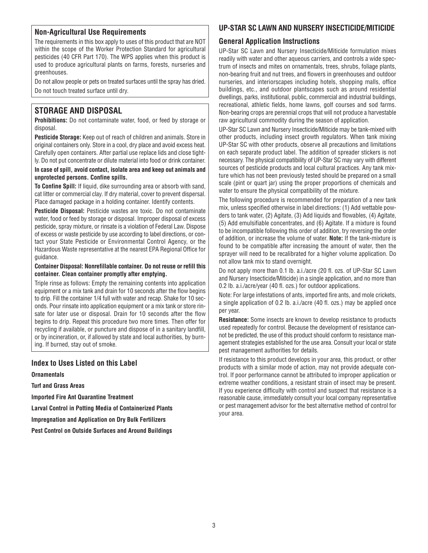#### **Non-Agricultural Use Requirements**

The requirements in this box apply to uses of this product that are NOT within the scope of the Worker Protection Standard for agricultural pesticides (40 CFR Part 170). The WPS applies when this product is used to produce agricultural plants on farms, forests, nurseries and greenhouses.

Do not allow people or pets on treated surfaces until the spray has dried. Do not touch treated surface until dry.

## **STORAGE AND DISPOSAL**

**Prohibitions:** Do not contaminate water, food, or feed by storage or disposal.

**Pesticide Storage:** Keep out of reach of children and animals. Store in original containers only. Store in a cool, dry place and avoid excess heat. Carefully open containers. After partial use replace lids and close tightly. Do not put concentrate or dilute material into food or drink container.

**In case of spill, avoid contact, isolate area and keep out animals and unprotected persons. Confine spills.** 

**To Confine Spill:** If liquid, dike surrounding area or absorb with sand, cat litter or commercial clay. If dry material, cover to prevent dispersal. Place damaged package in a holding container. Identify contents.

**Pesticide Disposal:** Pesticide wastes are toxic. Do not contaminate water, food or feed by storage or disposal. Improper disposal of excess pesticide, spray mixture, or rinsate is a violation of Federal Law. Dispose of excess or waste pesticide by use according to label directions, or contact your State Pesticide or Environmental Control Agency, or the Hazardous Waste representative at the nearest EPA Regional Office for guidance.

#### **Container Disposal: Nonrefillable container. Do not reuse or refill this container. Clean container promptly after emptying.**

Triple rinse as follows: Empty the remaining contents into application equipment or a mix tank and drain for 10 seconds after the flow begins to drip. Fill the container 1/4 full with water and recap. Shake for 10 seconds. Pour rinsate into application equipment or a mix tank or store rinsate for later use or disposal. Drain for 10 seconds after the flow begins to drip. Repeat this procedure two more times. Then offer for recycling if available, or puncture and dispose of in a sanitary landfill, or by incineration, or, if allowed by state and local authorities, by burning. If burned, stay out of smoke.

#### **Index to Uses Listed on this Label**

**Ornamentals** 

**Turf and Grass Areas**

**Imported Fire Ant Quarantine Treatment**

**Larval Control in Potting Media of Containerized Plants**

**Impregnation and Application on Dry Bulk Fertilizers**

**Pest Control on Outside Surfaces and Around Buildings**

#### **UP-STAR SC LAWN AND NURSERY INSECTICIDE/MITICIDE**

#### **General Application Instructions**

UP-Star SC Lawn and Nursery Insecticide/Miticide formulation mixes readily with water and other aqueous carriers, and controls a wide spectrum of insects and mites on ornamentals, trees, shrubs, foliage plants, non-bearing fruit and nut trees, and flowers in greenhouses and outdoor nurseries, and interiorscapes including hotels, shopping malls, office buildings, etc., and outdoor plantscapes such as around residential dwellings, parks, institutional, public, commercial and industrial buildings, recreational, athletic fields, home lawns, golf courses and sod farms. Non-bearing crops are perennial crops that will not produce a harvestable raw agricultural commodity during the season of application.

UP-Star SC Lawn and Nursery Insecticide/Miticide may be tank-mixed with other products, including insect growth regulators. When tank mixing UP-Star SC with other products, observe all precautions and limitations on each separate product label. The addition of spreader stickers is not necessary. The physical compatibility of UP-Star SC may vary with different sources of pesticide products and local cultural practices. Any tank mixture which has not been previously tested should be prepared on a small scale (pint or quart jar) using the proper proportions of chemicals and water to ensure the physical compatibility of the mixture.

The following procedure is recommended for preparation of a new tank mix, unless specified otherwise in label directions: (1) Add wettable powders to tank water, (2) Agitate, (3) Add liquids and flowables, (4) Agitate, (5) Add emulsifiable concentrates, and (6) Agitate. If a mixture is found to be incompatible following this order of addition, try reversing the order of addition, or increase the volume of water. **Note:** If the tank-mixture is found to be compatible after increasing the amount of water, then the sprayer will need to be recalibrated for a higher volume application. Do not allow tank mix to stand overnight.

Do not apply more than 0.1 lb. a.i./acre (20 fl. ozs. of UP-Star SC Lawn and Nursery Insecticide/Miticide) in a single application, and no more than 0.2 lb. a.i./acre/year (40 fl. ozs.) for outdoor applications.

Note: For large infestations of ants, imported fire ants, and mole crickets, a single application of 0.2 lb. a.i./acre (40 fl. ozs.) may be applied once per year.

**Resistance:** Some insects are known to develop resistance to products used repeatedly for control. Because the development of resistance cannot be predicted, the use of this product should conform to resistance management strategies established for the use area. Consult your local or state pest management authorities for details.

If resistance to this product develops in your area, this product, or other products with a similar mode of action, may not provide adequate control. If poor performance cannot be attributed to improper application or extreme weather conditions, a resistant strain of insect may be present. If you experience difficulty with control and suspect that resistance is a reasonable cause, immediately consult your local company representative or pest management advisor for the best alternative method of control for your area.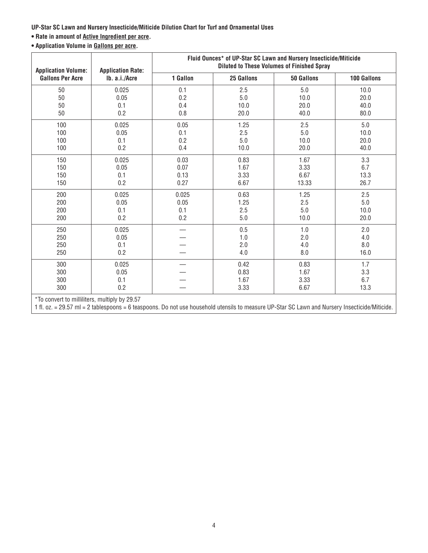**UP-Star SC Lawn and Nursery Insecticide/Miticide Dilution Chart for Turf and Ornamental Uses**

## **• Rate in amount of Active Ingredient per acre.**

**• Application Volume in Gallons per acre.**

| <b>Application Volume:</b> | <b>Application Rate:</b> | Fluid Ounces* of UP-Star SC Lawn and Nursery Insecticide/Miticide<br><b>Diluted to These Volumes of Finished Spray</b> |            |                   |             |  |
|----------------------------|--------------------------|------------------------------------------------------------------------------------------------------------------------|------------|-------------------|-------------|--|
| <b>Gallons Per Acre</b>    | Ib. a.i./Acre            | 1 Gallon                                                                                                               | 25 Gallons | <b>50 Gallons</b> | 100 Gallons |  |
| 50                         | 0.025                    | 0.1                                                                                                                    | 2.5        | 5.0               | 10.0        |  |
| 50                         | 0.05                     | 0.2                                                                                                                    | 5.0        | 10.0              | 20.0        |  |
| 50                         | 0.1                      | 0.4                                                                                                                    | 10.0       | 20.0              | 40.0        |  |
| 50                         | 0.2                      | 0.8                                                                                                                    | 20.0       | 40.0              | 80.0        |  |
| 100                        | 0.025                    | 0.05                                                                                                                   | 1.25       | 2.5               | 5.0         |  |
| 100                        | 0.05                     | 0.1                                                                                                                    | 2.5        | 5.0               | 10.0        |  |
| 100                        | 0.1                      | 0.2                                                                                                                    | 5.0        | 10.0              | 20.0        |  |
| 100                        | 0.2                      | 0.4                                                                                                                    | 10.0       | 20.0              | 40.0        |  |
| 150                        | 0.025                    | 0.03                                                                                                                   | 0.83       | 1.67              | 3.3         |  |
| 150                        | 0.05                     | 0.07                                                                                                                   | 1.67       | 3.33              | 6.7         |  |
| 150                        | 0.1                      | 0.13                                                                                                                   | 3.33       | 6.67              | 13.3        |  |
| 150                        | 0.2                      | 0.27                                                                                                                   | 6.67       | 13.33             | 26.7        |  |
| 200                        | 0.025                    | 0.025                                                                                                                  | 0.63       | 1.25              | 2.5         |  |
| 200                        | 0.05                     | 0.05                                                                                                                   | 1.25       | 2.5               | 5.0         |  |
| 200                        | 0.1                      | 0.1                                                                                                                    | 2.5        | 5.0               | 10.0        |  |
| 200                        | 0.2                      | 0.2                                                                                                                    | 5.0        | 10.0              | 20.0        |  |
| 250                        | 0.025                    |                                                                                                                        | 0.5        | 1.0               | 2.0         |  |
| 250                        | 0.05                     |                                                                                                                        | 1.0        | 2.0               | 4.0         |  |
| 250                        | 0.1                      |                                                                                                                        | 2.0        | 4.0               | 8.0         |  |
| 250                        | 0.2                      |                                                                                                                        | 4.0        | 8.0               | 16.0        |  |
| 300                        | 0.025                    |                                                                                                                        | 0.42       | 0.83              | 1.7         |  |
| 300                        | 0.05                     |                                                                                                                        | 0.83       | 1.67              | 3.3         |  |
| 300                        | 0.1                      |                                                                                                                        | 1.67       | 3.33              | 6.7         |  |
| 300                        | 0.2                      |                                                                                                                        | 3.33       | 6.67              | 13.3        |  |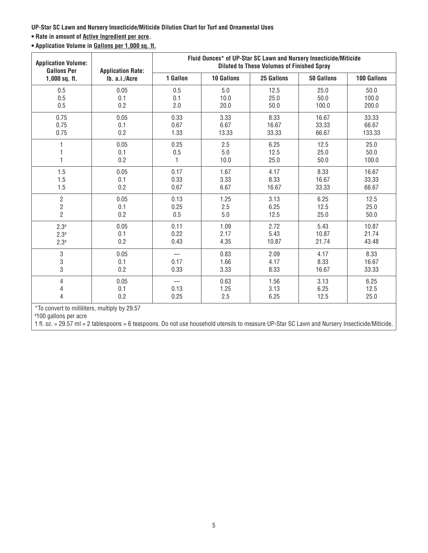**UP-Star SC Lawn and Nursery Insecticide/Miticide Dilution Chart for Turf and Ornamental Uses**

#### **• Rate in amount of Active Ingredient per acre.**

**• Application Volume in Gallons per 1,000 sq. ft.**

| <b>Application Volume:</b><br><b>Gallons Per</b>                     | <b>Application Rate:</b> |              | Fluid Ounces* of UP-Star SC Lawn and Nursery Insecticide/Miticide | <b>Diluted to These Volumes of Finished Spray</b> |                       |                        |
|----------------------------------------------------------------------|--------------------------|--------------|-------------------------------------------------------------------|---------------------------------------------------|-----------------------|------------------------|
| $1,000$ sq. ft.                                                      | Ib. a.i./Acre            | 1 Gallon     | <b>10 Gallons</b>                                                 | 25 Gallons                                        | <b>50 Gallons</b>     | 100 Gallons            |
| 0.5                                                                  | 0.05                     | 0.5          | 5.0                                                               | 12.5                                              | 25.0                  | 50.0                   |
| 0.5                                                                  | 0.1                      | 0.1          | 10.0                                                              | 25.0                                              | 50.0                  | 100.0                  |
| 0.5                                                                  | 0.2                      | 2.0          | 20.0                                                              | 50.0                                              | 100.0                 | 200.0                  |
| 0.75                                                                 | 0.05                     | 0.33         | 3.33                                                              | 8.33                                              | 16.67                 | 33.33                  |
| 0.75                                                                 | 0.1                      | 0.67         | 6.67                                                              | 16.67                                             | 33.33                 | 66.67                  |
| 0.75                                                                 | 0.2                      | 1.33         | 13.33                                                             | 33.33                                             | 66.67                 | 133.33                 |
| 1                                                                    | 0.05                     | 0.25         | 2.5                                                               | 6.25                                              | 12.5                  | 25.0                   |
|                                                                      | 0.1                      | $0.5\,$      | 5.0                                                               | 12.5                                              | 25.0                  | 50.0                   |
|                                                                      | 0.2                      | 1            | 10.0                                                              | 25.0                                              | 50.0                  | 100.0                  |
| 1.5                                                                  | 0.05                     | 0.17         | 1.67                                                              | 4.17                                              | 8.33                  | 16.67                  |
| 1.5                                                                  | 0.1                      | 0.33         | 3.33                                                              | 8.33                                              | 16.67                 | 33.33                  |
| 1.5                                                                  | 0.2                      | 0.67         | 6.67                                                              | 16.67                                             | 33.33                 | 66.67                  |
| $\overline{c}$                                                       | 0.05                     | 0.13         | 1.25                                                              | 3.13                                              | 6.25                  | 12.5                   |
| $\overline{c}$                                                       | 0.1                      | 0.25         | 2.5                                                               | 6.25                                              | 12.5                  | 25.0                   |
| $\overline{2}$                                                       | 0.2                      | 0.5          | 5.0                                                               | 12.5                                              | 25.0                  | 50.0                   |
| 2.3 <sup>a</sup>                                                     | 0.05                     | 0.11         | 1.09                                                              | 2.72                                              | 5.43                  | 10.87                  |
| 2.3 <sup>a</sup>                                                     | 0.1                      | 0.22         | 2.17                                                              | 5.43                                              | 10.87                 | 21.74                  |
| 2.3 <sup>a</sup>                                                     | 0.2                      | 0.43         | 4.35                                                              | 10.87                                             | 21.74                 | 43.48                  |
| 3<br>3<br>3                                                          | 0.05<br>0.1<br>0.2       | 0.17<br>0.33 | 0.83<br>1.66<br>3.33                                              | 2.09<br>4.17<br>8.33                              | 4.17<br>8.33<br>16.67 | 8.33<br>16.67<br>33.33 |
| $\sqrt{4}$<br>4<br>4<br>*To convert to milliliters multiply by 20.57 | 0.05<br>0.1<br>0.2       | 0.13<br>0.25 | 0.63<br>1.25<br>2.5                                               | 1.56<br>3.13<br>6.25                              | 3.13<br>6.25<br>12.5  | 6.25<br>12.5<br>25.0   |

To convert to milliliters, multiply by 29.57

<sup>a</sup>100 gallons per acre

1 fl. oz. = 29.57 ml = 2 tablespoons = 6 teaspoons. Do not use household utensils to measure UP-Star SC Lawn and Nursery Insecticide/Miticide.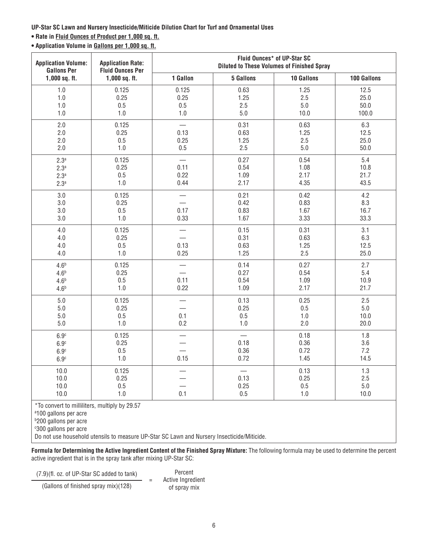**UP-Star SC Lawn and Nursery Insecticide/Miticide Dilution Chart for Turf and Ornamental Uses**

#### **• Rate in Fluid Ounces of Product per 1,000 sq. ft.**

**• Application Volume in Gallons per 1,000 sq. ft.**

| <b>Application Volume:</b><br><b>Gallons Per</b>                             | <b>Application Rate:</b><br><b>Fluid Ounces Per</b> | Fluid Ounces* of UP-Star SC<br><b>Diluted to These Volumes of Finished Spray</b> |                                                  |                              |                                |  |
|------------------------------------------------------------------------------|-----------------------------------------------------|----------------------------------------------------------------------------------|--------------------------------------------------|------------------------------|--------------------------------|--|
| $1,000$ sq. ft.                                                              | $1,000$ sq. ft.                                     | 1 Gallon                                                                         | 5 Gallons                                        | 10 Gallons                   | 100 Gallons                    |  |
| 1.0<br>1.0<br>1.0<br>1.0                                                     | 0.125<br>0.25<br>0.5<br>1.0                         | 0.125<br>0.25<br>$0.5\,$<br>1.0                                                  | 0.63<br>1.25<br>2.5<br>5.0                       | 1.25<br>2.5<br>5.0<br>10.0   | 12.5<br>25.0<br>50.0<br>100.0  |  |
| 2.0<br>2.0<br>2.0<br>2.0                                                     | 0.125<br>0.25<br>0.5<br>1.0                         | 0.13<br>0.25<br>0.5                                                              | 0.31<br>0.63<br>1.25<br>2.5                      | 0.63<br>1.25<br>2.5<br>5.0   | 6.3<br>12.5<br>25.0<br>50.0    |  |
| 2.3 <sup>a</sup><br>2.3 <sup>a</sup><br>2.3 <sup>a</sup><br>2.3 <sup>a</sup> | 0.125<br>0.25<br>0.5<br>1.0                         | $\overline{\phantom{0}}$<br>0.11<br>0.22<br>0.44                                 | 0.27<br>0.54<br>1.09<br>2.17                     | 0.54<br>1.08<br>2.17<br>4.35 | 5.4<br>10.8<br>21.7<br>43.5    |  |
| 3.0<br>3.0<br>3.0<br>3.0                                                     | 0.125<br>0.25<br>0.5<br>1.0                         | $\overline{\phantom{0}}$<br>0.17<br>0.33                                         | 0.21<br>0.42<br>0.83<br>1.67                     | 0.42<br>0.83<br>1.67<br>3.33 | 4.2<br>8.3<br>16.7<br>33.3     |  |
| 4.0<br>4.0<br>4.0<br>4.0                                                     | 0.125<br>0.25<br>0.5<br>$1.0$                       | $\overline{\phantom{0}}$<br>0.13<br>0.25                                         | 0.15<br>0.31<br>0.63<br>1.25                     | 0.31<br>0.63<br>1.25<br>2.5  | 3.1<br>6.3<br>12.5<br>25.0     |  |
| 4.6 <sup>b</sup><br>4.6 <sup>b</sup><br>4.6 <sup>b</sup><br>4.6 <sup>b</sup> | 0.125<br>0.25<br>0.5<br>1.0                         | 0.11<br>0.22                                                                     | 0.14<br>0.27<br>0.54<br>1.09                     | 0.27<br>0.54<br>1.09<br>2.17 | 2.7<br>5.4<br>10.9<br>21.7     |  |
| 5.0<br>5.0<br>5.0<br>5.0                                                     | 0.125<br>0.25<br>0.5<br>$1.0$                       | $\overline{\phantom{0}}$<br>0.1<br>0.2                                           | 0.13<br>0.25<br>0.5<br>$1.0$                     | 0.25<br>0.5<br>$1.0$<br>2.0  | 2.5<br>$5.0\,$<br>10.0<br>20.0 |  |
| 6.9 <sup>c</sup><br>6.9 <sup>c</sup><br>6.9 <sup>c</sup><br>6.9 <sup>c</sup> | 0.125<br>0.25<br>0.5<br>$1.0$                       | 0.15                                                                             | $\overline{\phantom{0}}$<br>0.18<br>0.36<br>0.72 | 0.18<br>0.36<br>0.72<br>1.45 | 1.8<br>3.6<br>7.2<br>14.5      |  |
| 10.0<br>10.0<br>10.0<br>10.0                                                 | 0.125<br>0.25<br>0.5<br>1.0                         | 0.1                                                                              | $\overline{\phantom{0}}$<br>0.13<br>0.25<br>0.5  | 0.13<br>0.25<br>0.5<br>$1.0$ | 1.3<br>2.5<br>$5.0\,$<br>10.0  |  |

\*To convert to milliliters, multiply by 29.57

<sup>a</sup>100 gallons per acre

b 200 gallons per acre

c 300 gallons per acre

Do not use household utensils to measure UP-Star SC Lawn and Nursery Insecticide/Miticide.

**Formula for Determining the Active Ingredient Content of the Finished Spray Mixture:** The following formula may be used to determine the percent active ingredient that is in the spray tank after mixing UP-Star SC:

 $(7.9)(\text{fl. oz. of UP-Star SC added to tank})$  =

 $(Gallons of finished spray mix)(128)$ 

Percent Active Ingredient<br>of spray mix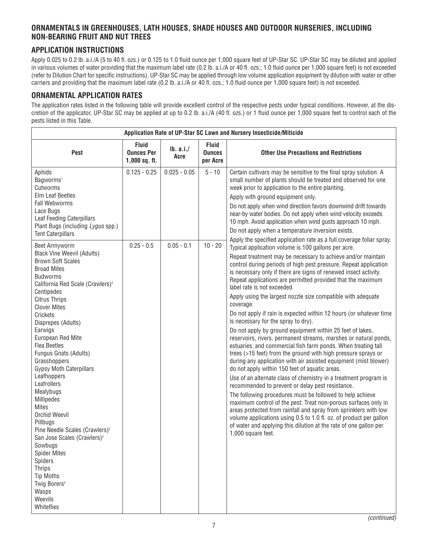## **ORNAMENTALS IN GREENHOUSES, LATH HOUSES, SHADE HOUSES AND OUTDOOR NURSERIES, INCLUDING NON-BEARING FRUIT AND NUT TREES**

## **APPLICATION INSTRUCTIONS**

Apply 0.025 to 0.2 lb. a.i./A (5 to 40 fl. ozs.) or 0.125 to 1.0 fluid ounce per 1,000 square feet of UP-Star SC. UP-Star SC may be diluted and applied in various volumes of water providing that the maximum label rate (0.2 lb. a.i./A or 40 fl. ozs.; 1.0 fluid ounce per 1,000 square feet) is not exceeded (refer to Dilution Chart for specific instructions). UP-Star SC may be applied through low volume application equipment by dilution with water or other carriers and providing that the maximum label rate (0.2 lb. a.i./A or 40 fl. ozs.; 1.0 fluid ounce per 1,000 square feet) is not exceeded.

## **ORNAMENTAL APPLICATION RATES**

The application rates listed in the following table will provide excellent control of the respective pests under typical conditions. However, at the discretion of the applicator, UP-Star SC may be applied at up to 0.2 lb. a.i./A (40 fl. ozs.) or 1 fluid ounce per 1,000 square feet to control each of the pests listed in this Table.

| Application Rate of UP-Star SC Lawn and Nursery Insecticide/Miticide                                                                                                                                                                                                                                                                                                                                                                                                                                                                                                                                                                                                                                                                                    |                                                      |                  |                                           |                                                                                                                                                                                                                                                                                                                                                                                                                                                                                                                                                                                                                                                                                                                                                                                                                                                                                                                                                                                                                                                                                                                                                                                                                                                                                                                                                                                                                                          |  |
|---------------------------------------------------------------------------------------------------------------------------------------------------------------------------------------------------------------------------------------------------------------------------------------------------------------------------------------------------------------------------------------------------------------------------------------------------------------------------------------------------------------------------------------------------------------------------------------------------------------------------------------------------------------------------------------------------------------------------------------------------------|------------------------------------------------------|------------------|-------------------------------------------|------------------------------------------------------------------------------------------------------------------------------------------------------------------------------------------------------------------------------------------------------------------------------------------------------------------------------------------------------------------------------------------------------------------------------------------------------------------------------------------------------------------------------------------------------------------------------------------------------------------------------------------------------------------------------------------------------------------------------------------------------------------------------------------------------------------------------------------------------------------------------------------------------------------------------------------------------------------------------------------------------------------------------------------------------------------------------------------------------------------------------------------------------------------------------------------------------------------------------------------------------------------------------------------------------------------------------------------------------------------------------------------------------------------------------------------|--|
| <b>Pest</b>                                                                                                                                                                                                                                                                                                                                                                                                                                                                                                                                                                                                                                                                                                                                             | <b>Fluid</b><br><b>Ounces Per</b><br>$1,000$ sq. ft. | Ib. a.i.<br>Acre | <b>Fluid</b><br><b>Ounces</b><br>per Acre | <b>Other Use Precautions and Restrictions</b>                                                                                                                                                                                                                                                                                                                                                                                                                                                                                                                                                                                                                                                                                                                                                                                                                                                                                                                                                                                                                                                                                                                                                                                                                                                                                                                                                                                            |  |
| Aphids<br>Bagworms <sup>1</sup><br>Cutworms<br>Elm Leaf Beetles<br><b>Fall Webworms</b><br>Lace Bugs<br><b>Leaf Feeding Caterpillars</b><br>Plant Bugs (including Lygus spp.)<br><b>Tent Caterpillars</b>                                                                                                                                                                                                                                                                                                                                                                                                                                                                                                                                               | $0.125 - 0.25$                                       | $0.025 - 0.05$   | $5 - 10$                                  | Certain cultivars may be sensitive to the final spray solution. A<br>small number of plants should be treated and observed for one<br>week prior to application to the entire planting.<br>Apply with ground equipment only.<br>Do not apply when wind direction favors downwind drift towards<br>near-by water bodies. Do not apply when wind velocity exceeds<br>10 mph. Avoid application when wind gusts approach 10 mph.<br>Do not apply when a temperature inversion exists.<br>Apply the specified application rate as a full coverage foliar spray.                                                                                                                                                                                                                                                                                                                                                                                                                                                                                                                                                                                                                                                                                                                                                                                                                                                                              |  |
| Beet Armyworm<br><b>Black Vine Weevil (Adults)</b><br><b>Brown Soft Scales</b><br><b>Broad Mites</b><br><b>Budworms</b><br>California Red Scale (Crawlers) <sup>2</sup><br>Centipedes<br><b>Citrus Thrips</b><br><b>Clover Mites</b><br>Crickets<br>Diaprepes (Adults)<br>Earwigs<br>European Red Mite<br><b>Flea Beetles</b><br>Fungus Gnats (Adults)<br>Grasshoppers<br><b>Gypsy Moth Caterpillars</b><br>Leafhoppers<br>Leafrollers<br>Mealybugs<br>Millipedes<br><b>Mites</b><br>Orchid Weevil<br>Pillbugs<br>Pine Needle Scales (Crawlers) <sup>2</sup><br>San Jose Scales (Crawlers) <sup>2</sup><br>Sowbugs<br><b>Spider Mites</b><br>Spiders<br><b>Thrips</b><br><b>Tip Moths</b><br>Twig Borers <sup>2</sup><br>Wasps<br>Weevils<br>Whiteflies | $0.25 - 0.5$                                         | $0.05 - 0.1$     | $10 - 20$                                 | Typical application volume is 100 gallons per acre.<br>Repeat treatment may be necessary to achieve and/or maintain<br>control during periods of high pest pressure. Repeat application<br>is necessary only if there are signs of renewed insect activity.<br>Repeat applications are permitted provided that the maximum<br>label rate is not exceeded.<br>Apply using the largest nozzle size compatible with adequate<br>coverage.<br>Do not apply if rain is expected within 12 hours (or whatever time<br>is necessary for the spray to dry).<br>Do not apply by ground equipment within 25 feet of lakes,<br>reservoirs, rivers, permanent streams, marshes or natural ponds,<br>estuaries, and commercial fish farm ponds. When treating tall<br>trees (>15 feet) from the ground with high pressure sprays or<br>during any application with air assisted equipment (mist blower)<br>do not apply within 150 feet of aquatic areas.<br>Use of an alternate class of chemistry in a treatment program is<br>recommended to prevent or delay pest resistance.<br>The following procedures must be followed to help achieve<br>maximum control of the pest: Treat non-porous surfaces only in<br>areas protected from rainfall and spray from sprinklers with low<br>volume applications using 0.5 to 1.0 fl. oz. of product per gallon<br>of water and applying this dilution at the rate of one gallon per<br>1,000 square feet. |  |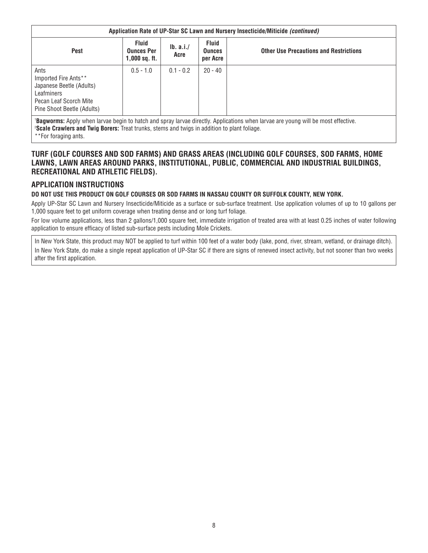|                                                                                                                                | Application Rate of UP-Star SC Lawn and Nursery Insecticide/Miticide (continued) |                  |                                           |                                               |  |  |
|--------------------------------------------------------------------------------------------------------------------------------|----------------------------------------------------------------------------------|------------------|-------------------------------------------|-----------------------------------------------|--|--|
| <b>Pest</b>                                                                                                                    | <b>Fluid</b><br><b>Ounces Per</b><br>$1,000$ sq. ft.                             | Ib. a.i.<br>Acre | <b>Fluid</b><br><b>Ounces</b><br>per Acre | <b>Other Use Precautions and Restrictions</b> |  |  |
| Ants<br>Imported Fire Ants**<br>Japanese Beetle (Adults)<br>Leafminers<br>Pecan Leaf Scorch Mite<br>Pine Shoot Beetle (Adults) | $0.5 - 1.0$                                                                      | $0.1 - 0.2$      | $20 - 40$                                 |                                               |  |  |
|                                                                                                                                | .                                                                                |                  |                                           |                                               |  |  |

'**Bagworms:** Apply when larvae begin to hatch and spray larvae directly. Applications when larvae are young will be most effective.<br><sup>2</sup>Seale Crawlers and Twin Borers: Treat trunks, stems and twigs in addition to plant foli **Scale Crawlers and Twig Borers:** Treat trunks, stems and twigs in addition to plant foliage.

\*\*For foraging ants.

#### **TURF (GOLF COURSES AND SOD FARMS) AND GRASS AREAS (INCLUDING GOLF COURSES, SOD FARMS, HOME LAWNS, LAWN AREAS AROUND PARKS, INSTITUTIONAL, PUBLIC, COMMERCIAL AND INDUSTRIAL BUILDINGS, RECREATIONAL AND ATHLETIC FIELDS).**

## **APPLICATION INSTRUCTIONS**

#### **DO NOT USE THIS PRODUCT ON GOLF COURSES OR SOD FARMS IN NASSAU COUNTY OR SUFFOLK COUNTY, NEW YORK.**

Apply UP-Star SC Lawn and Nursery Insecticide/Miticide as a surface or sub-surface treatment. Use application volumes of up to 10 gallons per 1,000 square feet to get uniform coverage when treating dense and or long turf foliage.

For low volume applications, less than 2 gallons/1,000 square feet, immediate irrigation of treated area with at least 0.25 inches of water following application to ensure efficacy of listed sub-surface pests including Mole Crickets.

In New York State, this product may NOT be applied to turf within 100 feet of a water body (lake, pond, river, stream, wetland, or drainage ditch). In New York State, do make a single repeat application of UP-Star SC if there are signs of renewed insect activity, but not sooner than two weeks after the first application.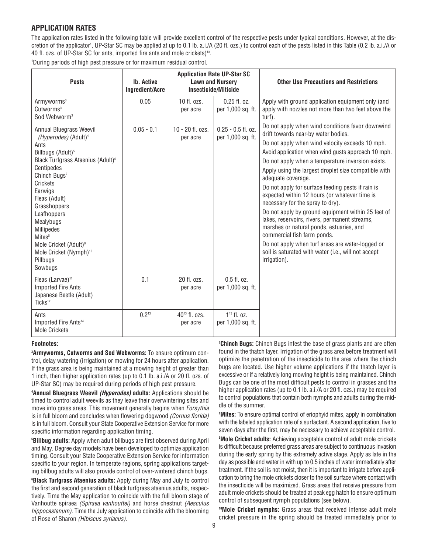## **APPLICATION RATES**

The application rates listed in the following table will provide excellent control of the respective pests under typical conditions. However, at the discretion of the applicator', UP-Star SC may be applied at up to 0.1 lb. a.i./A (20 fl. ozs.) to control each of the pests listed in this Table (0.2 lb. a.i./A or 40 fl. ozs. of UP-Star SC for ants, imported fire ants and mole crickets)<sup>13</sup>.

1 During periods of high pest pressure or for maximum residual control.

| <b>Pests</b>                                                                                                                                                                                                                                                                                                                                                                                                              | <b>Ib. Active</b><br><b>Ingredient/Acre</b> | <b>Application Rate UP-Star SC</b><br><b>Lawn and Nursery</b><br>Insecticide/Miticide |                                           | <b>Other Use Precautions and Restrictions</b>                                                                                                                                                                                                                                                                                                                                                                                                                                                                                                                                                                                                                                                                                                                                              |
|---------------------------------------------------------------------------------------------------------------------------------------------------------------------------------------------------------------------------------------------------------------------------------------------------------------------------------------------------------------------------------------------------------------------------|---------------------------------------------|---------------------------------------------------------------------------------------|-------------------------------------------|--------------------------------------------------------------------------------------------------------------------------------------------------------------------------------------------------------------------------------------------------------------------------------------------------------------------------------------------------------------------------------------------------------------------------------------------------------------------------------------------------------------------------------------------------------------------------------------------------------------------------------------------------------------------------------------------------------------------------------------------------------------------------------------------|
| Armyworms <sup>3</sup><br>Cutworms <sup>3</sup><br>Sod Webworm <sup>3</sup>                                                                                                                                                                                                                                                                                                                                               | 0.05                                        | $10$ fl. ozs.<br>per acre                                                             | $0.25$ fl. oz.<br>per 1,000 sq. ft.       | Apply with ground application equipment only (and<br>apply with nozzles not more than two feet above the<br>turf).                                                                                                                                                                                                                                                                                                                                                                                                                                                                                                                                                                                                                                                                         |
| Annual Bluegrass Weevil<br>(Hyperodes) (Adult) <sup>4</sup><br>Ants<br>Billbugs (Adult) <sup>5</sup><br>Black Turfgrass Ataenius (Adult) <sup>6</sup><br>Centipedes<br>Chinch Bugs <sup>7</sup><br>Crickets<br>Earwigs<br>Fleas (Adult)<br>Grasshoppers<br>Leafhoppers<br>Mealybugs<br>Millipedes<br>Mites <sup>8</sup><br>Mole Cricket (Adult) <sup>9</sup><br>Mole Cricket (Nymph) <sup>10</sup><br>Pillbugs<br>Sowbugs | $0.05 - 0.1$                                | $10 - 20$ fl. ozs.<br>per acre                                                        | $0.25 - 0.5$ fl. oz.<br>per 1,000 sq. ft. | Do not apply when wind conditions favor downwind<br>drift towards near-by water bodies.<br>Do not apply when wind velocity exceeds 10 mph.<br>Avoid application when wind gusts approach 10 mph.<br>Do not apply when a temperature inversion exists.<br>Apply using the largest droplet size compatible with<br>adequate coverage.<br>Do not apply for surface feeding pests if rain is<br>expected within 12 hours (or whatever time is<br>necessary for the spray to dry).<br>Do not apply by ground equipment within 25 feet of<br>lakes, reservoirs, rivers, permanent streams,<br>marshes or natural ponds, estuaries, and<br>commercial fish farm ponds.<br>Do not apply when turf areas are water-logged or<br>soil is saturated with water (i.e., will not accept<br>irrigation). |
| Fleas (Larvae) <sup>11</sup><br><b>Imported Fire Ants</b><br>Japanese Beetle (Adult)<br>Ticks <sup>12</sup>                                                                                                                                                                                                                                                                                                               | 0.1                                         | 20 fl. ozs.<br>per acre                                                               | $0.5$ fl. oz.<br>per 1,000 sq. ft.        |                                                                                                                                                                                                                                                                                                                                                                                                                                                                                                                                                                                                                                                                                                                                                                                            |
| Ants<br>Imported Fire Ants <sup>14</sup><br><b>Mole Crickets</b>                                                                                                                                                                                                                                                                                                                                                          | $0.2^{13}$                                  | $40^{13}$ fl. ozs.<br>per acre                                                        | $1^{13}$ fl. oz.<br>per 1,000 sq. ft.     |                                                                                                                                                                                                                                                                                                                                                                                                                                                                                                                                                                                                                                                                                                                                                                                            |

#### **Footnotes:**

**3 Armyworms, Cutworms and Sod Webworms:** To ensure optimum control, delay watering (irrigation) or mowing for 24 hours after application. If the grass area is being maintained at a mowing height of greater than 1 inch, then higher application rates (up to 0.1 lb. a.i./A or 20 fl. ozs. of UP-Star SC) may be required during periods of high pest pressure.

**4 Annual Bluegrass Weevil (Hyperodes) adults:** Applications should be timed to control adult weevils as they leave their overwintering sites and move into grass areas. This movement generally begins when *Forsythia* is in full bloom and concludes when flowering dogwood (Cornus florida) is in full bloom. Consult your State Cooperative Extension Service for more specific information regarding application timing.

**5 Billbug adults:** Apply when adult billbugs are first observed during April and May. Degree day models have been developed to optimize application timing. Consult your State Cooperative Extension Service for information specific to your region. In temperate regions, spring applications targeting billbug adults will also provide control of over-wintered chinch bugs.

**6 Black Turfgrass Ataenius adults:** Apply during May and July to control the first and second generation of black turfgrass ataenius adults, respectively. Time the May application to coincide with the full bloom stage of Vanhoutte spiraea (Spiraea vanhouttei) and horse chestnut (Aesculus hippocastanum). Time the July application to coincide with the blooming of Rose of Sharon (Hibiscus syriacus).

**7 Chinch Bugs:** Chinch Bugs infest the base of grass plants and are often found in the thatch layer. Irrigation of the grass area before treatment will optimize the penetration of the insecticide to the area where the chinch bugs are located. Use higher volume applications if the thatch layer is excessive or if a relatively long mowing height is being maintained. Chinch Bugs can be one of the most difficult pests to control in grasses and the higher application rates (up to 0.1 lb. a.i./A or 20 fl. ozs.) may be required to control populations that contain both nymphs and adults during the middle of the summer.

**8 Mites:** To ensure optimal control of eriophyid mites, apply in combination with the labeled application rate of a surfactant. A second application, five to seven days after the first, may be necessary to achieve acceptable control.

**9 Mole Cricket adults:** Achieving acceptable control of adult mole crickets is difficult because preferred grass areas are subject to continuous invasion during the early spring by this extremely active stage. Apply as late in the day as possible and water in with up to 0.5 inches of water immediately after treatment. If the soil is not moist, then it is important to irrigate before application to bring the mole crickets closer to the soil surface where contact with the insecticide will be maximized. Grass areas that receive pressure from adult mole crickets should be treated at peak egg hatch to ensure optimum control of subsequent nymph populations (see below).

**10Mole Cricket nymphs:** Grass areas that received intense adult mole cricket pressure in the spring should be treated immediately prior to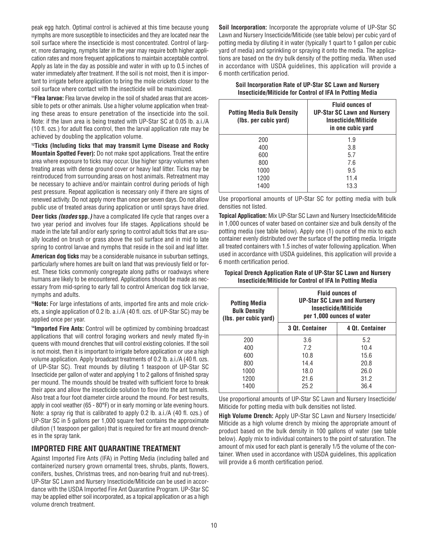peak egg hatch. Optimal control is achieved at this time because young nymphs are more susceptible to insecticides and they are located near the soil surface where the insecticide is most concentrated. Control of larger, more damaging, nymphs later in the year may require both higher application rates and more frequent applications to maintain acceptable control. Apply as late in the day as possible and water in with up to 0.5 inches of water immediately after treatment. If the soil is not moist, then it is important to irrigate before application to bring the mole crickets closer to the soil surface where contact with the insecticide will be maximized.

**11Flea larvae:** Flea larvae develop in the soil of shaded areas that are accessible to pets or other animals. Use a higher volume application when treating these areas to ensure penetration of the insecticide into the soil. Note: if the lawn area is being treated with UP-Star SC at 0.05 lb. a.i./A (10 fl. ozs.) for adult flea control, then the larval application rate may be achieved by doubling the application volume.

**12Ticks (Including ticks that may transmit Lyme Disease and Rocky Mountain Spotted Fever):** Do not make spot applications. Treat the entire area where exposure to ticks may occur. Use higher spray volumes when treating areas with dense ground cover or heavy leaf litter. Ticks may be reintroduced from surrounding areas on host animals. Retreatment may be necessary to achieve and/or maintain control during periods of high pest pressure. Repeat application is necessary only if there are signs of renewed activity. Do not apply more than once per seven days. Do not allow public use of treated areas during application or until sprays have dried.

**Deer ticks (Ixodes spp.)** have a complicated life cycle that ranges over a two year period and involves four life stages. Applications should be made in the late fall and/or early spring to control adult ticks that are usually located on brush or grass above the soil surface and in mid to late spring to control larvae and nymphs that reside in the soil and leaf litter.

**American dog ticks** may be a considerable nuisance in suburban settings, particularly where homes are built on land that was previously field or forest. These ticks commonly congregate along paths or roadways where humans are likely to be encountered. Applications should be made as necessary from mid-spring to early fall to control American dog tick larvae, nymphs and adults.

**13Note:** For large infestations of ants, imported fire ants and mole crickets, a single application of 0.2 lb. a.i./A (40 fl. ozs. of UP-Star SC) may be applied once per year.

**14Imported Fire Ants:** Control will be optimized by combining broadcast applications that will control foraging workers and newly mated fly-in queens with mound drenches that will control existing colonies. If the soil is not moist, then it is important to irrigate before application or use a high volume application. Apply broadcast treatments of 0.2 lb. a.i./A (40 fl. ozs. of UP-Star SC). Treat mounds by diluting 1 teaspoon of UP-Star SC Insecticide per gallon of water and applying 1 to 2 gallons of finished spray per mound. The mounds should be treated with sufficient force to break their apex and allow the insecticide solution to flow into the ant tunnels. Also treat a four foot diameter circle around the mound. For best results, apply in cool weather (65 - 80°F) or in early morning or late evening hours. Note: a spray rig that is calibrated to apply 0.2 lb. a.i./A (40 fl. ozs.) of UP-Star SC in 5 gallons per 1,000 square feet contains the approximate dilution (1 teaspoon per gallon) that is required for fire ant mound drenches in the spray tank.

## **IMPORTED FIRE ANT QUARANTINE TREATMENT**

Against Imported Fire Ants (IFA) in Potting Media (including balled and containerized nursery grown ornamental trees, shrubs, plants, flowers, conifers, bushes, Christmas trees, and non-bearing fruit and nut-trees). UP-Star SC Lawn and Nursery Insecticide/Miticide can be used in accordance with the USDA Imported Fire Ant Quarantine Program. UP-Star SC may be applied either soil incorporated, as a topical application or as a high volume drench treatment.

**Soil Incorporation:** Incorporate the appropriate volume of UP-Star SC Lawn and Nursery Insecticide/Miticide (see table below) per cubic yard of potting media by diluting it in water (typically 1 quart to 1 gallon per cubic yard of media) and sprinkling or spraying it onto the media. The applications are based on the dry bulk density of the potting media. When used in accordance with USDA guidelines, this application will provide a 6 month certification period.

**Soil Incorporation Rate of UP-Star SC Lawn and Nursery Insecticide/Miticide for Control of IFA In Potting Media**

| <b>Potting Media Bulk Density</b><br>(lbs. per cubic yard) | <b>Fluid ounces of</b><br><b>UP-Star SC Lawn and Nursery</b><br>Insecticide/Miticide<br>in one cubic yard |
|------------------------------------------------------------|-----------------------------------------------------------------------------------------------------------|
| 200                                                        | 1.9                                                                                                       |
| 400                                                        | 3.8                                                                                                       |
| 600                                                        | 5.7                                                                                                       |
| 800                                                        | 7.6                                                                                                       |
| 1000                                                       | 9.5                                                                                                       |
| 1200                                                       | 11.4                                                                                                      |
| 1400                                                       | 13.3                                                                                                      |

Use proportional amounts of UP-Star SC for potting media with bulk densities not listed.

**Topical Application:** Mix UP-Star SC Lawn and Nursery Insecticide/Miticide in 1,000 ounces of water based on container size and bulk density of the potting media (see table below). Apply one (1) ounce of the mix to each container evenly distributed over the surface of the potting media. Irrigate all treated containers with 1.5 inches of water following application. When used in accordance with USDA guidelines, this application will provide a 6 month certification period.

| Topical Drench Application Rate of UP-Star SC Lawn and Nursery |
|----------------------------------------------------------------|
| Insecticide/Miticide for Control of IFA In Potting Media       |

| <b>Potting Media</b><br><b>Bulk Density</b><br>(lbs. per cubic yard) | <b>Fluid ounces of</b><br><b>UP-Star SC Lawn and Nursery</b><br>Insecticide/Miticide<br>per 1,000 ounces of water |                 |  |  |  |
|----------------------------------------------------------------------|-------------------------------------------------------------------------------------------------------------------|-----------------|--|--|--|
|                                                                      | <b>3 Qt. Container</b>                                                                                            | 4 Qt. Container |  |  |  |
| 200                                                                  | 3.6                                                                                                               | 5.2             |  |  |  |
| 400                                                                  | 7.2                                                                                                               | 10.4            |  |  |  |
| 600                                                                  | 10.8                                                                                                              | 15.6            |  |  |  |
| 800                                                                  | 14.4                                                                                                              | 20.8            |  |  |  |
| 1000                                                                 | 18.0                                                                                                              | 26.0            |  |  |  |
| 1200                                                                 | 21.6                                                                                                              | 31.2            |  |  |  |
| 1400                                                                 | 25.2                                                                                                              | 36.4            |  |  |  |

Use proportional amounts of UP-Star SC Lawn and Nursery Insecticide/ Miticide for potting media with bulk densities not listed.

**High Volume Drench:** Apply UP-Star SC Lawn and Nursery Insecticide/ Miticide as a high volume drench by mixing the appropriate amount of product based on the bulk density in 100 gallons of water (see table below). Apply mix to individual containers to the point of saturation. The amount of mix used for each plant is generally 1/5 the volume of the container. When used in accordance with USDA guidelines, this application will provide a 6 month certification period.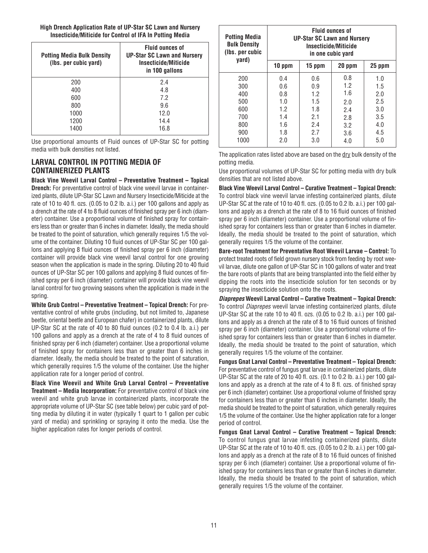**High Drench Application Rate of UP-Star SC Lawn and Nursery Insecticide/Miticide for Control of IFA In Potting Media**

| <b>Potting Media Bulk Density</b><br>(lbs. per cubic yard) | <b>Fluid ounces of</b><br><b>UP-Star SC Lawn and Nursery</b><br>Insecticide/Miticide<br>in 100 gallons |
|------------------------------------------------------------|--------------------------------------------------------------------------------------------------------|
| 200                                                        | 2.4                                                                                                    |
| 400                                                        | 4.8                                                                                                    |
| 600                                                        | 7.2                                                                                                    |
| 800                                                        | 9.6                                                                                                    |
| 1000                                                       | 12.0                                                                                                   |
| 1200                                                       | 14.4                                                                                                   |
| 1400                                                       | 16.8                                                                                                   |

Use proportional amounts of Fluid ounces of UP-Star SC for potting media with bulk densities not listed.

## **LARVAL CONTROL IN POTTING MEDIA OF CONTAINERIZED PLANTS**

**Black Vine Weevil Larval Control – Preventative Treatment – Topical Drench:** For preventative control of black vine weevil larvae in containerized plants, dilute UP-Star SC Lawn and Nursery Insecticide/Miticide at the rate of 10 to 40 fl. ozs. (0.05 to 0.2 lb. a.i.) per 100 gallons and apply as a drench at the rate of 4 to 8 fluid ounces of finished spray per 6 inch (diameter) container. Use a proportional volume of finished spray for containers less than or greater than 6 inches in diameter. Ideally, the media should be treated to the point of saturation, which generally requires 1/5 the volume of the container. Diluting 10 fluid ounces of UP-Star SC per 100 gallons and applying 8 fluid ounces of finished spray per 6 inch (diameter) container will provide black vine weevil larval control for one growing season when the application is made in the spring. Diluting 20 to 40 fluid ounces of UP-Star SC per 100 gallons and applying 8 fluid ounces of finished spray per 6 inch (diameter) container will provide black vine weevil larval control for two growing seasons when the application is made in the spring.

**White Grub Control – Preventative Treatment – Topical Drench:** For preventative control of white grubs (including, but not limited to, Japanese beetle, oriental beetle and European chafer) in containerized plants, dilute UP-Star SC at the rate of 40 to 80 fluid ounces (0.2 to 0.4 lb. a.i.) per 100 gallons and apply as a drench at the rate of 4 to 8 fluid ounces of finished spray per 6 inch (diameter) container. Use a proportional volume of finished spray for containers less than or greater than 6 inches in diameter. Ideally, the media should be treated to the point of saturation, which generally requires 1/5 the volume of the container. Use the higher application rate for a longer period of control.

**Black Vine Weevil and White Grub Larval Control – Preventative Treatment – Media Incorporation:** For preventative control of black vine weevil and white grub larvae in containerized plants, incorporate the appropriate volume of UP-Star SC (see table below) per cubic yard of potting media by diluting it in water (typically 1 quart to 1 gallon per cubic yard of media) and sprinkling or spraying it onto the media. Use the higher application rates for longer periods of control.

| Potting Media<br><b>Bulk Density</b><br>(Ibs. per cubic<br>yard) | <b>Fluid ounces of</b><br><b>UP-Star SC Lawn and Nursery</b><br>Insecticide/Miticide<br>in one cubic yard |        |        |        |
|------------------------------------------------------------------|-----------------------------------------------------------------------------------------------------------|--------|--------|--------|
|                                                                  | 10 ppm                                                                                                    | 15 ppm | 20 ppm | 25 ppm |
| 200                                                              | 0.4                                                                                                       | 0.6    | 0.8    | 1.0    |
| 300                                                              | 0.6                                                                                                       | 0.9    | 1.2    | 1.5    |
| 400                                                              | 0.8                                                                                                       | 1.2    | 1.6    | 2.0    |
| 500                                                              | 1.0                                                                                                       | 1.5    | 2.0    | 2.5    |
| 600                                                              | 1.2                                                                                                       | 1.8    | 2.4    | 3.0    |
| 700                                                              | 1.4                                                                                                       | 2.1    | 2.8    | 3.5    |
| 800                                                              | 1.6                                                                                                       | 2.4    | 3.2    | 4.0    |
| 900                                                              | 1.8                                                                                                       | 2.7    | 3.6    | 4.5    |
| 1000                                                             | 2.0                                                                                                       | 3.0    | 4.0    | 5.0    |

The application rates listed above are based on the dry bulk density of the potting media.

Use proportional volumes of UP-Star SC for potting media with dry bulk densities that are not listed above.

**Black Vine Weevil Larval Control – Curative Treatment – Topical Drench:** To control black vine weevil larvae infesting containerized plants, dilute UP-Star SC at the rate of 10 to 40 fl. ozs. (0.05 to 0.2 lb. a.i.) per 100 gallons and apply as a drench at the rate of 8 to 16 fluid ounces of finished spray per 6 inch (diameter) container. Use a proportional volume of finished spray for containers less than or greater than 6 inches in diameter. Ideally, the media should be treated to the point of saturation, which generally requires 1/5 the volume of the container.

**Bare-root Treatment for Preventative Root Weevil Larvae – Control:** To protect treated roots of field grown nursery stock from feeding by root weevil larvae, dilute one gallon of UP-Star SC in 100 gallons of water and treat the bare roots of plants that are being transplanted into the field either by dipping the roots into the insecticide solution for ten seconds or by spraying the insecticide solution onto the roots.

**Diaprepes Weevil Larval Control – Curative Treatment – Topical Drench:** To control Diaprepes weevil larvae infesting containerized plants, dilute UP-Star SC at the rate 10 to 40 fl. ozs. (0.05 to 0.2 lb. a.i.) per 100 gallons and apply as a drench at the rate of 8 to 16 fluid ounces of finished spray per 6 inch (diameter) container. Use a proportional volume of finished spray for containers less than or greater than 6 inches in diameter. Ideally, the media should be treated to the point of saturation, which generally requires 1/5 the volume of the container.

**Fungus Gnat Larval Control – Preventative Treatment – Topical Drench:** For preventative control of fungus gnat larvae in containerized plants, dilute UP-Star SC at the rate of 20 to 40 fl. ozs. (0.1 to 0.2 lb. a.i.) per 100 gallons and apply as a drench at the rate of 4 to 8 fl. ozs. of finished spray per 6 inch (diameter) container. Use a proportional volume of finished spray for containers less than or greater than 6 inches in diameter. Ideally, the media should be treated to the point of saturation, which generally requires 1/5 the volume of the container. Use the higher application rate for a longer period of control.

**Fungus Gnat Larval Control – Curative Treatment – Topical Drench:** To control fungus gnat larvae infesting containerized plants, dilute UP-Star SC at the rate of 10 to 40 fl. ozs. (0.05 to 0.2 lb. a.i.) per 100 gallons and apply as a drench at the rate of 8 to 16 fluid ounces of finished spray per 6 inch (diameter) container. Use a proportional volume of finished spray for containers less than or greater than 6 inches in diameter. Ideally, the media should be treated to the point of saturation, which generally requires 1/5 the volume of the container.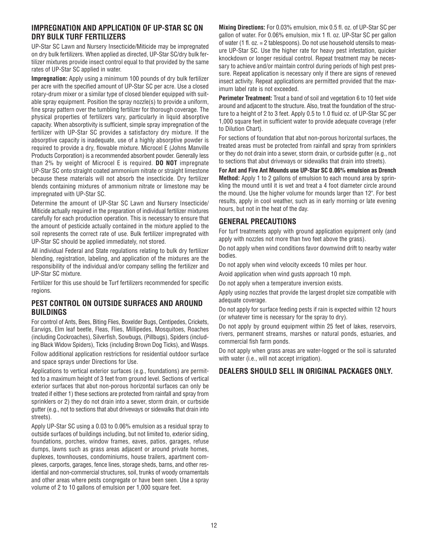#### **IMPREGNATION AND APPLICATION OF UP-STAR SC ON DRY BULK TURF FERTILIZERS**

UP-Star SC Lawn and Nursery Insecticide/Miticide may be impregnated on dry bulk fertilizers. When applied as directed, UP-Star SC/dry bulk fertilizer mixtures provide insect control equal to that provided by the same rates of UP-Star SC applied in water.

**Impregnation:** Apply using a minimum 100 pounds of dry bulk fertilizer per acre with the specified amount of UP-Star SC per acre. Use a closed rotary-drum mixer or a similar type of closed blender equipped with suitable spray equipment. Position the spray nozzle(s) to provide a uniform, fine spray pattern over the tumbling fertilizer for thorough coverage. The physical properties of fertilizers vary, particularly in liquid absorptive capacity. When absorptivity is sufficient, simple spray impregnation of the fertilizer with UP-Star SC provides a satisfactory dry mixture. If the absorptive capacity is inadequate, use of a highly absorptive powder is required to provide a dry, flowable mixture. Microcel E (Johns Manville Products Corporation) is a recommended absorbent powder. Generally less than 2% by weight of Microcel E is required. **DO NOT** impregnate UP-Star SC onto straight coated ammonium nitrate or straight limestone because these materials will not absorb the insecticide. Dry fertilizer blends containing mixtures of ammonium nitrate or limestone may be impregnated with UP-Star SC.

Determine the amount of UP-Star SC Lawn and Nursery Insecticide/ Miticide actually required in the preparation of individual fertilizer mixtures carefully for each production operation. This is necessary to ensure that the amount of pesticide actually contained in the mixture applied to the soil represents the correct rate of use. Bulk fertilizer impregnated with UP-Star SC should be applied immediately, not stored.

All individual Federal and State regulations relating to bulk dry fertilizer blending, registration, labeling, and application of the mixtures are the responsibility of the individual and/or company selling the fertilizer and UP-Star SC mixture.

Fertilizer for this use should be Turf fertilizers recommended for specific regions.

#### **PEST CONTROL ON OUTSIDE SURFACES AND AROUND BUILDINGS**

For control of Ants, Bees, Biting Flies, Boxelder Bugs, Centipedes, Crickets, Earwigs, Elm leaf beetle, Fleas, Flies, Millipedes, Mosquitoes, Roaches (including Cockroaches), Silverfish, Sowbugs, (Pillbugs), Spiders (including Black Widow Spiders), Ticks (including Brown Dog Ticks), and Wasps. Follow additional application restrictions for residential outdoor surface and space sprays under Directions for Use.

Applications to vertical exterior surfaces (e.g., foundations) are permitted to a maximum height of 3 feet from ground level. Sections of vertical exterior surfaces that abut non-porous horizontal surfaces can only be treated if either 1) these sections are protected from rainfall and spray from sprinklers or 2) they do not drain into a sewer, storm drain, or curbside gutter (e.g., not to sections that abut driveways or sidewalks that drain into streets).

Apply UP-Star SC using a 0.03 to 0.06% emulsion as a residual spray to outside surfaces of buildings including, but not limited to, exterior siding, foundations, porches, window frames, eaves, patios, garages, refuse dumps, lawns such as grass areas adjacent or around private homes, duplexes, townhouses, condominiums, house trailers, apartment complexes, carports, garages, fence lines, storage sheds, barns, and other residential and non-commercial structures, soil, trunks of woody ornamentals and other areas where pests congregate or have been seen. Use a spray volume of 2 to 10 gallons of emulsion per 1,000 square feet.

**Mixing Directions:** For 0.03% emulsion, mix 0.5 fl. oz. of UP-Star SC per gallon of water. For 0.06% emulsion, mix 1 fl. oz. UP-Star SC per gallon of water (1 fl. oz. = 2 tablespoons). Do not use household utensils to measure UP-Star SC. Use the higher rate for heavy pest infestation, quicker knockdown or longer residual control. Repeat treatment may be necessary to achieve and/or maintain control during periods of high pest pressure. Repeat application is necessary only if there are signs of renewed insect activity. Repeat applications are permitted provided that the maximum label rate is not exceeded.

**Perimeter Treatment:** Treat a band of soil and vegetation 6 to 10 feet wide around and adjacent to the structure. Also, treat the foundation of the structure to a height of 2 to 3 feet. Apply 0.5 to 1.0 fluid oz. of UP-Star SC per 1,000 square feet in sufficient water to provide adequate coverage (refer to Dilution Chart).

For sections of foundation that abut non-porous horizontal surfaces, the treated areas must be protected from rainfall and spray from sprinklers or they do not drain into a sewer, storm drain, or curbside gutter (e.g., not to sections that abut driveways or sidewalks that drain into streets).

**For Ant and Fire Ant Mounds use UP-Star SC 0.06% emulsion as Drench Method:** Apply 1 to 2 gallons of emulsion to each mound area by sprinkling the mound until it is wet and treat a 4 foot diameter circle around the mound. Use the higher volume for mounds larger than 12". For best results, apply in cool weather, such as in early morning or late evening hours, but not in the heat of the day.

## **GENERAL PRECAUTIONS**

For turf treatments apply with ground application equipment only (and apply with nozzles not more than two feet above the grass).

Do not apply when wind conditions favor downwind drift to nearby water bodies.

Do not apply when wind velocity exceeds 10 miles per hour.

Avoid application when wind gusts approach 10 mph.

Do not apply when a temperature inversion exists.

Apply using nozzles that provide the largest droplet size compatible with adequate coverage.

Do not apply for surface feeding pests if rain is expected within 12 hours (or whatever time is necessary for the spray to dry).

Do not apply by ground equipment within 25 feet of lakes, reservoirs, rivers, permanent streams, marshes or natural ponds, estuaries, and commercial fish farm ponds.

Do not apply when grass areas are water-logged or the soil is saturated with water (i.e., will not accept irrigation).

## **DEALERS SHOULD SELL IN ORIGINAL PACKAGES ONLY.**